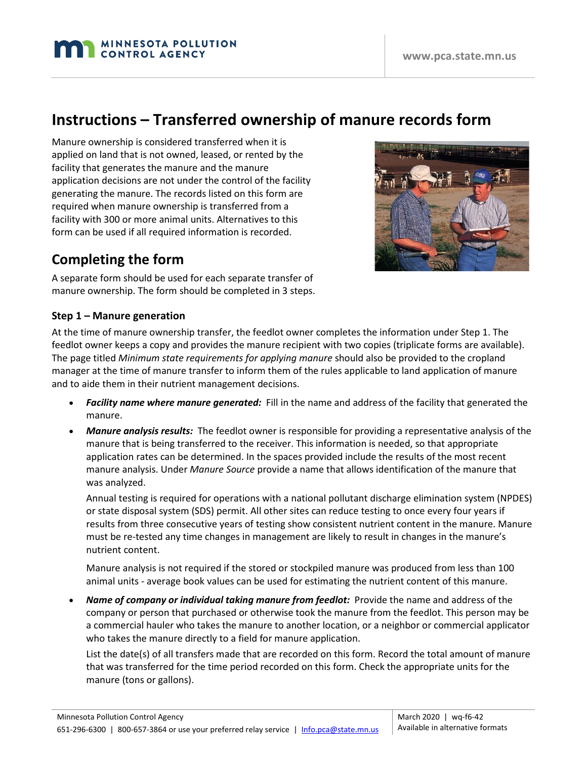# **Instructions – Transferred ownership of manure records form**

Manure ownership is considered transferred when it is applied on land that is not owned, leased, or rented by the facility that generates the manure and the manure application decisions are not under the control of the facility generating the manure. The records listed on this form are required when manure ownership is transferred from a facility with 300 or more animal units. Alternatives to this form can be used if all required information is recorded.

**MINNESOTA POLLUTION CONTROL AGENCY** 

## **Completing the form**

A separate form should be used for each separate transfer of manure ownership. The form should be completed in 3 steps.

#### **Step 1 – Manure generation**

At the time of manure ownership transfer, the feedlot owner completes the information under Step 1. The feedlot owner keeps a copy and provides the manure recipient with two copies (triplicate forms are available). The page titled *Minimum state requirements for applying manure* should also be provided to the cropland manager at the time of manure transfer to inform them of the rules applicable to land application of manure and to aide them in their nutrient management decisions.

- *Facility name where manure generated:* Fill in the name and address of the facility that generated the manure.
- *Manure analysis results:* The feedlot owner is responsible for providing a representative analysis of the manure that is being transferred to the receiver. This information is needed, so that appropriate application rates can be determined. In the spaces provided include the results of the most recent manure analysis. Under *Manure Source* provide a name that allows identification of the manure that was analyzed.

Annual testing is required for operations with a national pollutant discharge elimination system (NPDES) or state disposal system (SDS) permit. All other sites can reduce testing to once every four years if results from three consecutive years of testing show consistent nutrient content in the manure. Manure must be re-tested any time changes in management are likely to result in changes in the manure's nutrient content.

Manure analysis is not required if the stored or stockpiled manure was produced from less than 100 animal units - average book values can be used for estimating the nutrient content of this manure.

• *Name of company or individual taking manure from feedlot:* Provide the name and address of the company or person that purchased or otherwise took the manure from the feedlot. This person may be a commercial hauler who takes the manure to another location, or a neighbor or commercial applicator who takes the manure directly to a field for manure application.

List the date(s) of all transfers made that are recorded on this form. Record the total amount of manure that was transferred for the time period recorded on this form. Check the appropriate units for the manure (tons or gallons).